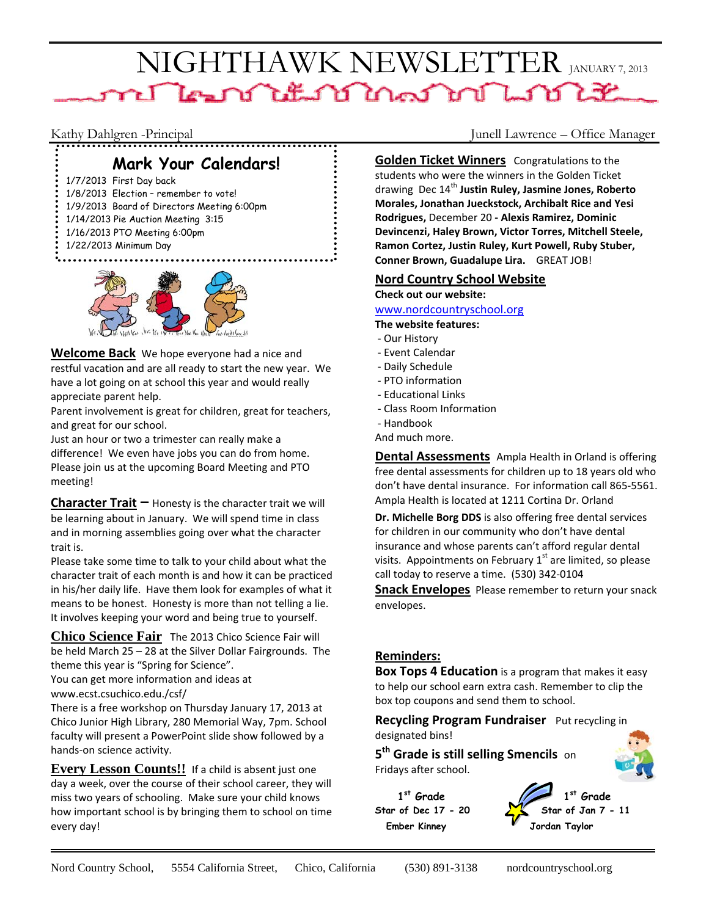# NIGHTHAWK NEWSLETTER JANUARY 7, 2013 ne Learn Litter Mens Mille Litt

# **Mark Your Calendars!**

1/7/2013 First Day back

- 1/8/2013 Election remember to vote!
- 1/9/2013 Board of Directors Meeting 6:00pm
- 1/14/2013 Pie Auction Meeting 3:15 1/16/2013 PTO Meeting 6:00pm
- 
- 1/22/2013 Minimum Day



**Welcome Back** We hope everyone had a nice and restful vacation and are all ready to start the new year. We have a lot going on at school this year and would really appreciate parent help.

Parent involvement is great for children, great for teachers, and great for our school.

Just an hour or two a trimester can really make a difference! We even have jobs you can do from home. Please join us at the upcoming Board Meeting and PTO meeting!

**Character Trait –** Honesty is the character trait we will be learning about in January. We will spend time in class and in morning assemblies going over what the character trait is.

Please take some time to talk to your child about what the character trait of each month is and how it can be practiced in his/her daily life. Have them look for examples of what it means to be honest. Honesty is more than not telling a lie. It involves keeping your word and being true to yourself.

**Chico Science Fair** The 2013 Chico Science Fair will be held March 25 – 28 at the Silver Dollar Fairgrounds. The theme this year is "Spring for Science".

You can get more information and ideas at www.ecst.csuchico.edu./csf/

There is a free workshop on Thursday January 17, 2013 at Chico Junior High Library, 280 Memorial Way, 7pm. School faculty will present a PowerPoint slide show followed by a hands‐on science activity.

**Every Lesson Counts!!** If a child is absent just one day a week, over the course of their school career, they will miss two years of schooling. Make sure your child knows how important school is by bringing them to school on time every day!

Kathy Dahlgren -Principal Junell Lawrence – Office Manager

**Golden Ticket Winners** Congratulations to the students who were the winners in the Golden Ticket drawing Dec 14th **Justin Ruley, Jasmine Jones, Roberto Morales, Jonathan Jueckstock, Archibalt Rice and Yesi Rodrigues,** December 20 **‐ Alexis Ramirez, Dominic Devincenzi, Haley Brown, Victor Torres, Mitchell Steele, Ramon Cortez, Justin Ruley, Kurt Powell, Ruby Stuber, Conner Brown, Guadalupe Lira.** GREAT JOB!

### **Nord Country School Website**

**Check out our website:**

#### www.nordcountryschool.org

**The website features:**

- ‐ Our History
- ‐ Event Calendar
- ‐ Daily Schedule
- ‐ PTO information
- ‐ Educational Links
- ‐ Class Room Information
- ‐ Handbook

And much more.

**Dental Assessments** Ampla Health in Orland is offering free dental assessments for children up to 18 years old who don't have dental insurance. For information call 865‐5561. Ampla Health is located at 1211 Cortina Dr. Orland

**Dr. Michelle Borg DDS** is also offering free dental services for children in our community who don't have dental insurance and whose parents can't afford regular dental visits. Appointments on February  $1<sup>st</sup>$  are limited, so please call today to reserve a time. (530) 342‐0104

**Snack Envelopes** Please remember to return your snack envelopes.

### **Reminders:**

**Box Tops 4 Education** is a program that makes it easy to help our school earn extra cash. Remember to clip the box top coupons and send them to school.

**Recycling Program Fundraiser** Put recycling in designated bins!

**5th Grade is still selling Smencils** on Fridays after school.

1st Grade **Star of Dec 17 - 20 Ember Kinney Jordan Taylor**